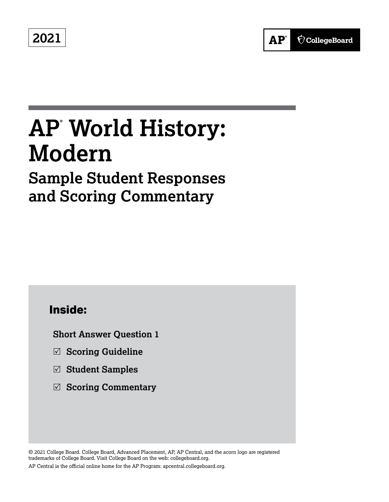**2021**



# **AP® World History: Modern**

## **Sample Student Responses and Scoring Commentary**

### **Inside:**

**Short Answer Question 1**

- 5 **Scoring Guideline**
- 5 **Student Samples**
- 5 **Scoring Commentary**

© 2021 College Board. College Board, Advanced Placement, AP, AP Central, and the acorn logo are registered trademarks of College Board. Visit College Board on the web: collegeboard.org. AP Central is the official online home for the AP Program: apcentral.collegeboard.org.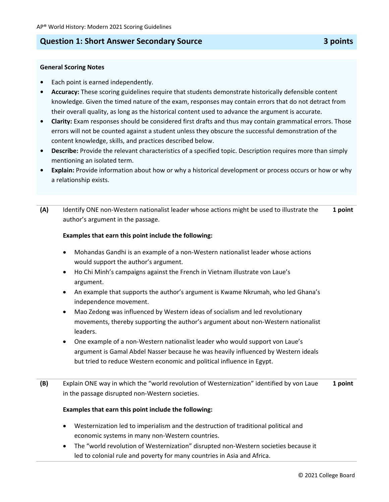#### **Question 1: Short Answer Secondary Source 3 points**

#### **General Scoring Notes**

- **•** Each point is earned independently.
- **• Accuracy:** These scoring guidelines require that students demonstrate historically defensible content knowledge. Given the timed nature of the exam, responses may contain errors that do not detract from their overall quality, as long as the historical content used to advance the argument is accurate.
- **Clarity:** Exam responses should be considered first drafts and thus may contain grammatical errors. Those errors will not be counted against a student unless they obscure the successful demonstration of the content knowledge, skills, and practices described below.
- **Describe:** Provide the relevant characteristics of a specified topic. Description requires more than simply mentioning an isolated term.
- **• Explain:** Provide information about how or why a historical development or process occurs or how or why a relationship exists.
- **(A)** Identify ONE non-Western nationalist leader whose actions might be used to illustrate the author's argument in the passage. **1 point**

#### **Examples that earn this point include the following:**

- Mohandas Gandhi is an example of a non-Western nationalist leader whose actions would support the author's argument.
- Ho Chi Minh's campaigns against the French in Vietnam illustrate von Laue's argument.
- An example that supports the author's argument is Kwame Nkrumah, who led Ghana's independence movement.
- Mao Zedong was influenced by Western ideas of socialism and led revolutionary movements, thereby supporting the author's argument about non-Western nationalist leaders.
- One example of a non-Western nationalist leader who would support von Laue's argument is Gamal Abdel Nasser because he was heavily influenced by Western ideals but tried to reduce Western economic and political influence in Egypt.
- **(B)** Explain ONE way in which the "world revolution of Westernization" identified by von Laue in the passage disrupted non-Western societies. **1 point**

#### **Examples that earn this point include the following:**

- Westernization led to imperialism and the destruction of traditional political and economic systems in many non-Western countries.
- The "world revolution of Westernization" disrupted non-Western societies because it led to colonial rule and poverty for many countries in Asia and Africa.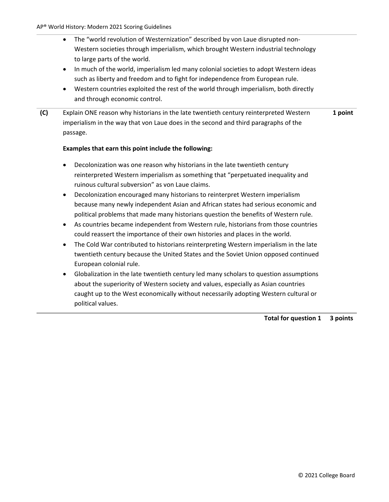- The "world revolution of Westernization" described by von Laue disrupted non-Western societies through imperialism, which brought Western industrial technology to large parts of the world.
- In much of the world, imperialism led many colonial societies to adopt Western ideas such as liberty and freedom and to fight for independence from European rule.
- Western countries exploited the rest of the world through imperialism, both directly and through economic control.
- **(C)** Explain ONE reason why historians in the late twentieth century reinterpreted Western imperialism in the way that von Laue does in the second and third paragraphs of the passage. **1 point**

#### **Examples that earn this point include the following:**

- Decolonization was one reason why historians in the late twentieth century reinterpreted Western imperialism as something that "perpetuated inequality and ruinous cultural subversion" as von Laue claims.
- Decolonization encouraged many historians to reinterpret Western imperialism because many newly independent Asian and African states had serious economic and political problems that made many historians question the benefits of Western rule.
- As countries became independent from Western rule, historians from those countries could reassert the importance of their own histories and places in the world.
- The Cold War contributed to historians reinterpreting Western imperialism in the late twentieth century because the United States and the Soviet Union opposed continued European colonial rule.
- Globalization in the late twentieth century led many scholars to question assumptions about the superiority of Western society and values, especially as Asian countries caught up to the West economically without necessarily adopting Western cultural or political values.

**Total for question 1 3 points**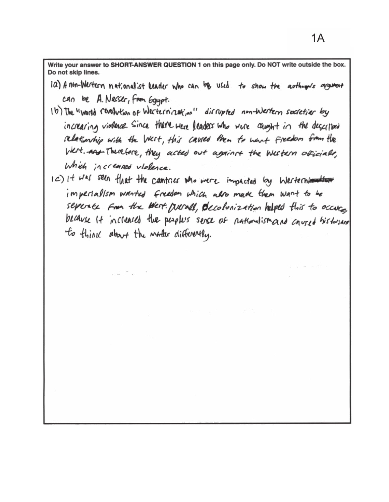Write your answer to SHORT-ANSWER QUESTION 1 on this page only. Do NOT write outside the box. Do not skip lines.

- 1a) A non-Wertern nationalist leader who can be used to show the authories argument can be A. Nasser, from Egypt.
- 1b) The "world revolution of westernization" dissupted non-Western societier by increaring violence. Since there were leaders who were caught in the described relationship with the West, this cavied them to want Freedom from the West. And Therefore, they acted out against the Western officials, Which increased violence.
- IC) It was seen that the cantries who mere impacted by Westerniantium imperialism wanted freedom which also muck them want to be seperate from the West. prevall, decolonization helped this to occur because it increases the people's sence of nationalismand coursed bistorian to think about the water differently.

 $\label{eq:2.1} \frac{1}{\sqrt{2\pi}}\left(\frac{1}{\sqrt{2\pi}}\right)^{1/2}\frac{1}{\sqrt{2\pi}}\left(\frac{1}{\sqrt{2\pi}}\right)^{1/2}\frac{1}{\sqrt{2\pi}}\left(\frac{1}{\sqrt{2\pi}}\right)^{1/2}\frac{1}{\sqrt{2\pi}}\left(\frac{1}{\sqrt{2\pi}}\right)^{1/2}\frac{1}{\sqrt{2\pi}}\left(\frac{1}{\sqrt{2\pi}}\right)^{1/2}\frac{1}{\sqrt{2\pi}}\frac{1}{\sqrt{2\pi}}\frac{1}{\sqrt{2\pi}}\frac{1}{\sqrt{2\$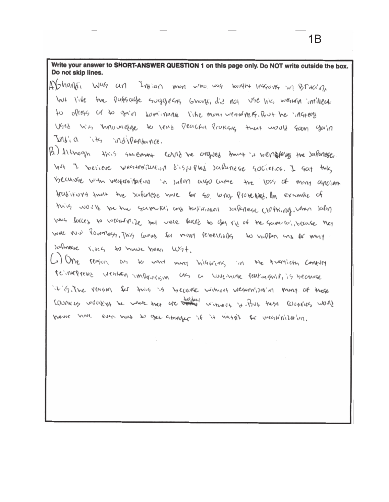Write your answer to SHORT-ANSWER QUESTION 1 on this page only. Do NOT write outside the box. Do not skip lines.

- AY<sub>2</sub>handi Was an Invian man who was taught lessons in Britain, the passage suggests Grant, did not use his wearn intilled.  $604$   $1.4e$ to optegs of to gain sominance like mone weardness. Reve he ingtery Used with whowledge to lead Peacful Protests twat would soon you'll India its indiversance.
- B.) Although this surement could be origined thing in nemotions the salarese With I verieve weaknifulling dispurses salanese societies. I say this because with vectoritation in Julan also came the loss of many applion Arabitions turns the suluncse nove for so who protected, In example of this would be the summon, and takingan submesse clothing, when salar mus forces to wearfulle that were faces to got ris of the samulai, becase that was now lowertests. This lawak for many revielrially to nupler and for most sulmeese lives to have neen WSt.

 $\sim$  )  $O_{M_{\rm P}}$ reagon as to und many highland in the tuesties contury reinungreus wenten impausium as a wienne rentausniki's because it is the reagon for this is because without westernized an many of trage Country wouldn't be where they are the without it. But these countres would Wever note even nuro to get attanger if it wasn't for weathin'iller'un.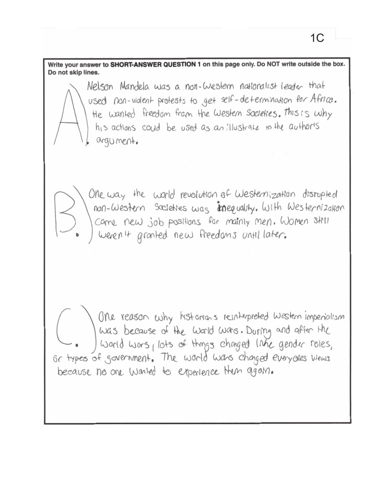Nelson Mandela was a non-Western nationalist leader that used non-violent protests to get self-determination for Africa. He wanted freedom from the Western Societies. This is why his actions could be used as an illustrate to the authoris argument. One way the world revolution of Westernization disrupted non-Western Societies was inequality. With Westernization come new job positions for mainly men. Women still weren't gronted new freedoms until later.

Write your answer to SHORT-ANSWER QUESTION 1 on this page only. Do NOT write outside the box.

Do not skip lines.

One reason why historians reinterpreted western imperialism was because of the world wars. During and after the world wars, lots of things changed link gender roles, Or types of government. The world was changed everyones views because no one wonted to experience them agam.